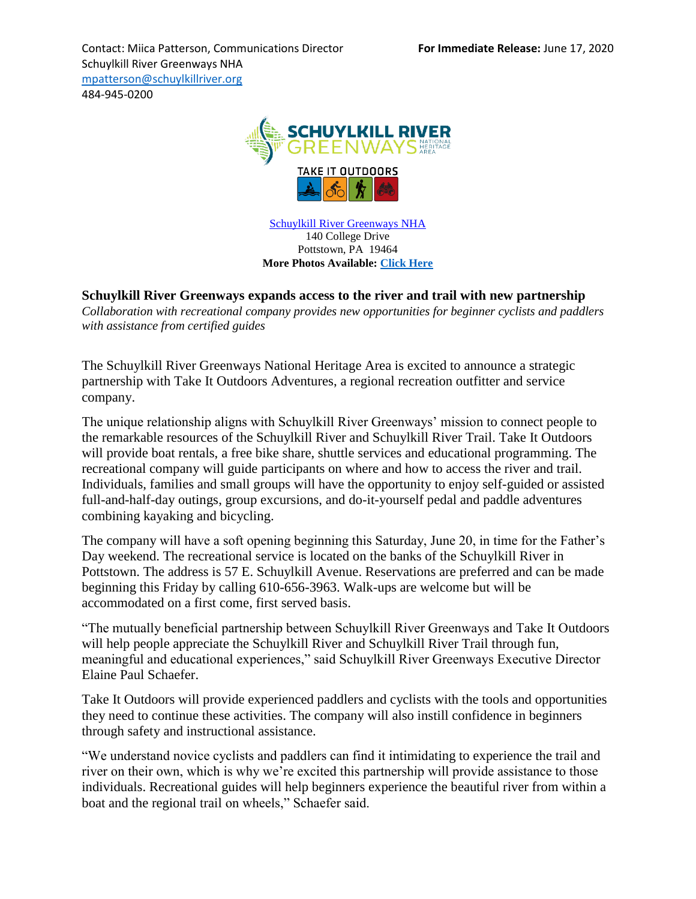Contact: Miica Patterson, Communications Director **For Immediate Release:** June 17, 2020 Schuylkill River Greenways NHA [mpatterson@schuylkillriver.org](mailto:mpatterson@schuylkillriver.org) 484-945-0200



[Schuylkill River Greenways NHA](http://www.schuylkillriver.org/) 140 College Drive Pottstown, PA 19464 **More Photos Available: [Click Here](https://drive.google.com/drive/folders/1HOvXHxr-58KVkYfV6S8F6wcdnmmJQt8Y?usp=sharing)**

## **Schuylkill River Greenways expands access to the river and trail with new partnership**

*Collaboration with recreational company provides new opportunities for beginner cyclists and paddlers with assistance from certified guides*

The Schuylkill River Greenways National Heritage Area is excited to announce a strategic partnership with Take It Outdoors Adventures, a regional recreation outfitter and service company.

The unique relationship aligns with Schuylkill River Greenways' mission to connect people to the remarkable resources of the Schuylkill River and Schuylkill River Trail. Take It Outdoors will provide boat rentals, a free bike share, shuttle services and educational programming. The recreational company will guide participants on where and how to access the river and trail. Individuals, families and small groups will have the opportunity to enjoy self-guided or assisted full-and-half-day outings, group excursions, and do-it-yourself pedal and paddle adventures combining kayaking and bicycling.

The company will have a soft opening beginning this Saturday, June 20, in time for the Father's Day weekend. The recreational service is located on the banks of the Schuylkill River in Pottstown. The address is 57 E. Schuylkill Avenue. Reservations are preferred and can be made beginning this Friday by calling 610-656-3963. Walk-ups are welcome but will be accommodated on a first come, first served basis.

"The mutually beneficial partnership between Schuylkill River Greenways and Take It Outdoors will help people appreciate the Schuylkill River and Schuylkill River Trail through fun, meaningful and educational experiences," said Schuylkill River Greenways Executive Director Elaine Paul Schaefer.

Take It Outdoors will provide experienced paddlers and cyclists with the tools and opportunities they need to continue these activities. The company will also instill confidence in beginners through safety and instructional assistance.

"We understand novice cyclists and paddlers can find it intimidating to experience the trail and river on their own, which is why we're excited this partnership will provide assistance to those individuals. Recreational guides will help beginners experience the beautiful river from within a boat and the regional trail on wheels," Schaefer said.